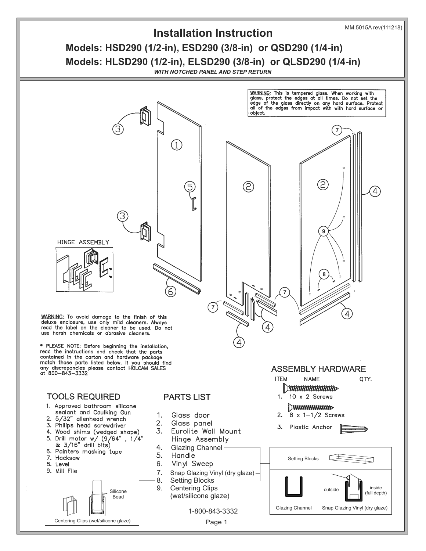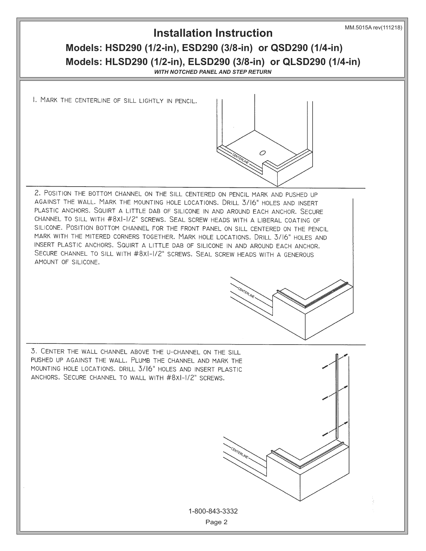### **Installation Instruction**

# **Models: HSD290 (1/2-in), ESD290 (3/8-in) or QSD290 (1/4-in) Models: HLSD290 (1/2-in), ELSD290 (3/8-in) or QLSD290 (1/4-in)**

*WITH NOTCHED PANEL AND STEP RETURN*

Ó

I. MARK THE CENTERLINE OF SILL LIGHTLY IN PENCIL.

2. POSITION THE BOTTOM CHANNEL ON THE SILL CENTERED ON PENCIL MARK AND PUSHED UP AGAINST THE WALL. MARK THE MOUNTING HOLE LOCATIONS. DRILL 3/16" HOLES AND INSERT PLASTIC ANCHORS. SQUIRT A LITTLE DAB OF SILICONE IN AND AROUND EACH ANCHOR. SECURE CHANNEL TO SILL WITH #8XI-I/2" SCREWS. SEAL SCREW HEADS WITH A LIBERAL COATING OF SILICONE. POSITION BOTTOM CHANNEL FOR THE FRONT PANEL ON SILL CENTERED ON THE PENCIL MARK WITH THE MITERED CORNERS TOGETHER. MARK HOLE LOCATIONS. DRILL 3/16" HOLES AND INSERT PLASTIC ANCHORS. SQUIRT A LITTLE DAB OF SILICONE IN AND AROUND EACH ANCHOR. SECURE CHANNEL TO SILL WITH #8XI-I/2" SCREWS. SEAL SCREW HEADS WITH A GENEROUS AMOUNT OF SILICONE.

3. CENTER THE WALL CHANNEL ABOVE THE U-CHANNEL ON THE SILL PUSHED UP AGAINST THE WALL. PLUMB THE CHANNEL AND MARK THE MOUNTING HOLE LOCATIONS. DRILL 3/16" HOLES AND INSERT PLASTIC ANCHORS. SECURE CHANNEL TO WALL WITH #8XI-I/2" SCREWS.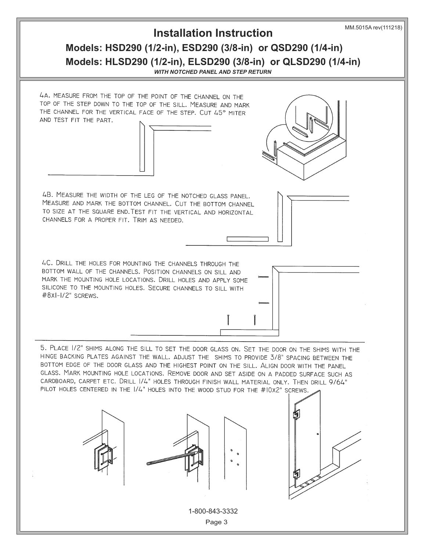#### **Installation Instruction**

### **Models: HSD290 (1/2-in), ESD290 (3/8-in) or QSD290 (1/4-in) Models: HLSD290 (1/2-in), ELSD290 (3/8-in) or QLSD290 (1/4-in)**

*WITH NOTCHED PANEL AND STEP RETURN*

4A. MEASURE FROM THE TOP OF THE POINT OF THE CHANNEL ON THE TOP OF THE STEP DOWN TO THE TOP OF THE SILL. MEASURE AND MARK THE CHANNEL FOR THE VERTICAL FACE OF THE STEP. CUT 45° MITER AND TEST FIT THE PART.

4B. MEASURE THE WIDTH OF THE LEG OF THE NOTCHED GLASS PANEL. MEASURE AND MARK THE BOTTOM CHANNEL. CUT THE BOTTOM CHANNEL TO SIZE AT THE SQUARE END. TEST FIT THE VERTICAL AND HORIZONTAL CHANNELS FOR A PROPER FIT. TRIM AS NEEDED.

4C. DRILL THE HOLES FOR MOUNTING THE CHANNELS THROUGH THE BOTTOM WALL OF THE CHANNELS. POSITION CHANNELS ON SILL AND MARK THE MOUNTING HOLE LOCATIONS. DRILL HOLES AND APPLY SOME SILICONE TO THE MOUNTING HOLES. SECURE CHANNELS TO SILL WITH #8xI-I/2" SCREWS.

5. PLACE 1/2" SHIMS ALONG THE SILL TO SET THE DOOR GLASS ON. SET THE DOOR ON THE SHIMS WITH THE HINGE BACKING PLATES AGAINST THE WALL. ADJUST THE SHIMS TO PROVIDE 3/8" SPACING BETWEEN THE BOTTOM EDGE OF THE DOOR GLASS AND THE HIGHEST POINT ON THE SILL. ALIGN DOOR WITH THE PANEL GLASS. MARK MOUNTING HOLE LOCATIONS. REMOVE DOOR AND SET ASIDE ON A PADDED SURFACE SUCH AS CARDBOARD, CARPET ETC. DRILL 1/4" HOLES THROUGH FINISH WALL MATERIAL ONLY. THEN DRILL 9/64" PILOT HOLES CENTERED IN THE 1/4" HOLES INTO THE WOOD STUD FOR THE #10X2" SCREWS.









1-800-843-3332

Page 3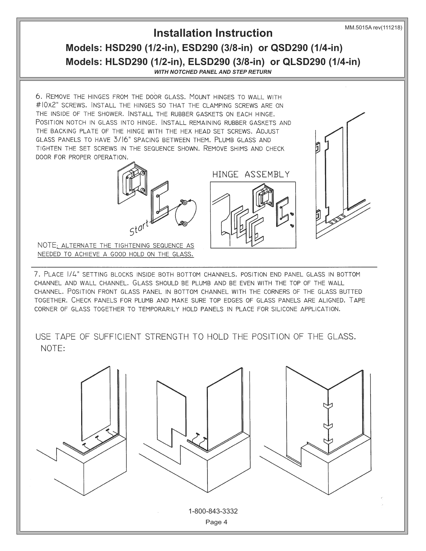MM.5015A rev(111218)

## **Models: HSD290 (1/2-in), ESD290 (3/8-in) or QSD290 (1/4-in) Models: HLSD290 (1/2-in), ELSD290 (3/8-in) or QLSD290 (1/4-in) Installation Instruction**

*WITH NOTCHED PANEL AND STEP RETURN*

6. REMOVE THE HINGES FROM THE DOOR GLASS. MOUNT HINGES TO WALL WITH #10X2" SCREWS. INSTALL THE HINGES SO THAT THE CLAMPING SCREWS ARE ON THE INSIDE OF THE SHOWER. INSTALL THE RUBBER GASKETS ON EACH HINGE. POSITION NOTCH IN GLASS INTO HINGE. INSTALL REMAINING RUBBER GASKETS AND THE BACKING PLATE OF THE HINGE WITH THE HEX HEAD SET SCREWS. ADJUST GLASS PANELS TO HAVE 3/16" SPACING BETWEEN THEM. PLUMB GLASS AND TIGHTEN THE SET SCREWS IN THE SEQUENCE SHOWN. REMOVE SHIMS AND CHECK DOOR FOR PROPER OPERATION.





NOTE: ALTERNATE THE TIGHTENING SEQUENCE AS NEEDED TO ACHIEVE A GOOD HOLD ON THE GLASS.

7. PLACE 1/4" SETTING BLOCKS INSIDE BOTH BOTTOM CHANNELS. POSITION END PANEL GLASS IN BOTTOM CHANNEL AND WALL CHANNEL. GLASS SHOULD BE PLUMB AND BE EVEN WITH THE TOP OF THE WALL CHANNEL. POSITION FRONT GLASS PANEL IN BOTTOM CHANNEL WITH THE CORNERS OF THE GLASS BUTTED TOGETHER. CHECK PANELS FOR PLUMB AND MAKE SURE TOP EDGES OF GLASS PANELS ARE ALIGNED. TAPE CORNER OF GLASS TOGETHER TO TEMPORARILY HOLD PANELS IN PLACE FOR SILICONE APPLICATION.

USE TAPE OF SUFFICIENT STRENGTH TO HOLD THE POSITION OF THE GLASS. NOTE: